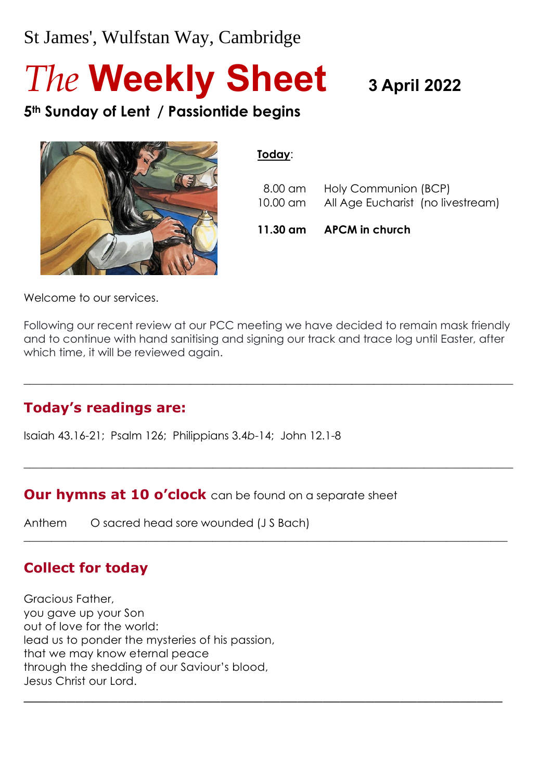# St James', Wulfstan Way, Cambridge

# *The* **Weekly Sheet 3 April <sup>2022</sup>**

**5th Sunday of Lent / Passiontide begins**



#### **Today**:

|  | 11.30 am APCM in church                                                    |
|--|----------------------------------------------------------------------------|
|  | 8.00 am Holy Communion (BCP)<br>10.00 am All Age Eucharist (no livestream) |
|  |                                                                            |

Welcome to our services.

Following our recent review at our PCC meeting we have decided to remain mask friendly and to continue with hand sanitising and signing our track and trace log until Easter, after which time, it will be reviewed again.

 $\_$  , and the set of the set of the set of the set of the set of the set of the set of the set of the set of the set of the set of the set of the set of the set of the set of the set of the set of the set of the set of th

 $\_$  , and the set of the set of the set of the set of the set of the set of the set of the set of the set of the set of the set of the set of the set of the set of the set of the set of the set of the set of the set of th

 $\_$  , and the set of the set of the set of the set of the set of the set of the set of the set of the set of the set of the set of the set of the set of the set of the set of the set of the set of the set of the set of th

\_\_\_\_\_\_\_\_\_\_\_\_\_\_\_\_\_\_\_\_\_\_\_\_\_\_\_\_\_\_\_\_\_\_\_\_\_\_\_\_\_\_\_\_\_\_\_\_\_\_\_\_\_\_\_\_

#### **Today's readings are:**

Isaiah 43.16-21; Psalm 126; Philippians 3.4*b*-14; John 12.1-8

**Our hymns at 10 o'clock** can be found on a separate sheet

Anthem O sacred head sore wounded (J S Bach)

#### **Collect for today**

Gracious Father, you gave up your Son out of love for the world: lead us to ponder the mysteries of his passion, that we may know eternal peace through the shedding of our Saviour's blood, Jesus Christ our Lord.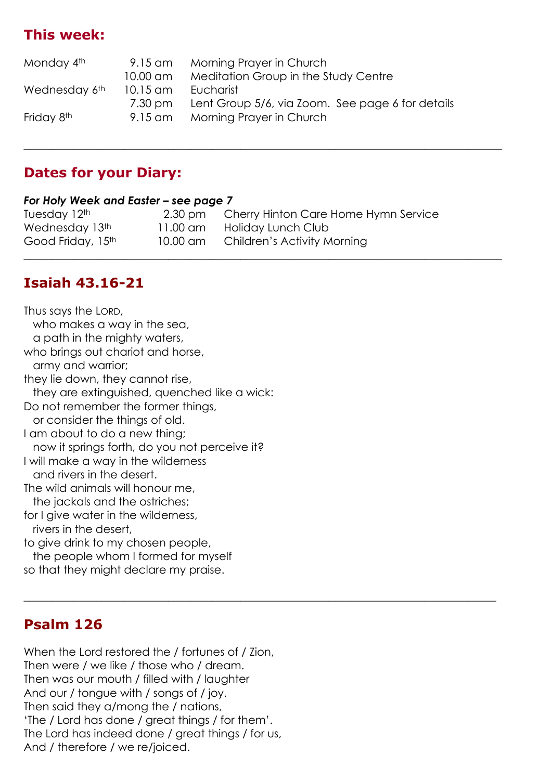#### **This week:**

| Monday 4th             | 9.15 am    | Morning Prayer in Church                         |
|------------------------|------------|--------------------------------------------------|
|                        | $10.00$ am | Meditation Group in the Study Centre             |
| Wednesday 6th          | $10.15$ am | Eucharist                                        |
|                        | 7.30 pm    | Lent Group 5/6, via Zoom. See page 6 for details |
| Friday 8 <sup>th</sup> | $9.15$ am  | Morning Prayer in Church                         |
|                        |            |                                                  |

 $\_$  , and the set of the set of the set of the set of the set of the set of the set of the set of the set of the set of the set of the set of the set of the set of the set of the set of the set of the set of the set of th

 $\_$  , and the set of the set of the set of the set of the set of the set of the set of the set of the set of the set of the set of the set of the set of the set of the set of the set of the set of the set of the set of th

#### **Dates for your Diary:**

#### *For Holy Week and Easter – see page 7*

| Tuesday 12th      | $2.30 \text{ pm}$ | Cherry Hinton Care Home Hymn Service |
|-------------------|-------------------|--------------------------------------|
| Wednesday 13th    | $11.00$ am        | Holiday Lunch Club                   |
| Good Friday, 15th | 10.00 am          | Children's Activity Morning          |
|                   |                   |                                      |

#### **Isaiah 43.16-21**

Thus says the LORD, who makes a way in the sea, a path in the mighty waters, who brings out chariot and horse, army and warrior; they lie down, they cannot rise, they are extinguished, quenched like a wick: Do not remember the former things, or consider the things of old. I am about to do a new thing; now it springs forth, do you not perceive it? I will make a way in the wilderness and rivers in the desert. The wild animals will honour me, the jackals and the ostriches; for I give water in the wilderness, rivers in the desert, to give drink to my chosen people,

 the people whom I formed for myself so that they might declare my praise.

#### **Psalm 126**

When the Lord restored the / fortunes of / Zion, Then were / we like / those who / dream. Then was our mouth / filled with / laughter And our / tongue with / songs of / joy. Then said they a/mong the / nations, 'The / Lord has done / great things / for them'. The Lord has indeed done / great things / for us, And / therefore / we re/joiced.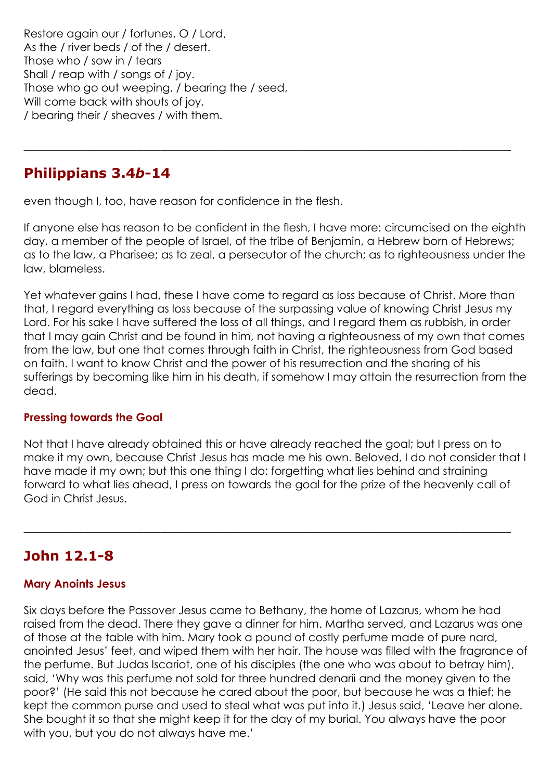Restore again our / fortunes, O / Lord, As the / river beds / of the / desert. Those who / sow in / tears Shall / reap with / songs of / joy. Those who go out weeping, / bearing the / seed, Will come back with shouts of joy, / bearing their / sheaves / with them.

#### **Philippians 3.4***b***-14**

even though I, too, have reason for confidence in the flesh.

If anyone else has reason to be confident in the flesh, I have more: circumcised on the eighth day, a member of the people of Israel, of the tribe of Benjamin, a Hebrew born of Hebrews; as to the law, a Pharisee; as to zeal, a persecutor of the church; as to righteousness under the law, blameless.

\_\_\_\_\_\_\_\_\_\_\_\_\_\_\_\_\_\_\_\_\_\_\_\_\_\_\_\_\_\_\_\_\_\_\_\_\_\_\_\_\_\_\_\_\_\_\_\_\_\_\_\_\_\_\_\_\_

Yet whatever gains I had, these I have come to regard as loss because of Christ. More than that, I regard everything as loss because of the surpassing value of knowing Christ Jesus my Lord. For his sake I have suffered the loss of all things, and I regard them as rubbish, in order that I may gain Christ and be found in him, not having a righteousness of my own that comes from the law, but one that comes through faith in Christ, the righteousness from God based on faith. I want to know Christ and the power of his resurrection and the sharing of his sufferings by becoming like him in his death, if somehow I may attain the resurrection from the dead.

#### **Pressing towards the Goal**

Not that I have already obtained this or have already reached the goal; but I press on to make it my own, because Christ Jesus has made me his own. Beloved, I do not consider that I have made it my own; but this one thing I do: forgetting what lies behind and straining forward to what lies ahead, I press on towards the goal for the prize of the heavenly call of God in Christ Jesus.

\_\_\_\_\_\_\_\_\_\_\_\_\_\_\_\_\_\_\_\_\_\_\_\_\_\_\_\_\_\_\_\_\_\_\_\_\_\_\_\_\_\_\_\_\_\_\_\_\_\_\_\_\_\_\_\_\_

#### **John 12.1-8**

#### **Mary Anoints Jesus**

Six days before the Passover Jesus came to Bethany, the home of Lazarus, whom he had raised from the dead. There they gave a dinner for him. Martha served, and Lazarus was one of those at the table with him. Mary took a pound of costly perfume made of pure nard, anointed Jesus' feet, and wiped them with her hair. The house was filled with the fragrance of the perfume. But Judas Iscariot, one of his disciples (the one who was about to betray him), said, 'Why was this perfume not sold for three hundred denarii and the money given to the poor?' (He said this not because he cared about the poor, but because he was a thief; he kept the common purse and used to steal what was put into it.) Jesus said, 'Leave her alone. She bought it so that she might keep it for the day of my burial. You always have the poor with you, but you do not always have me.'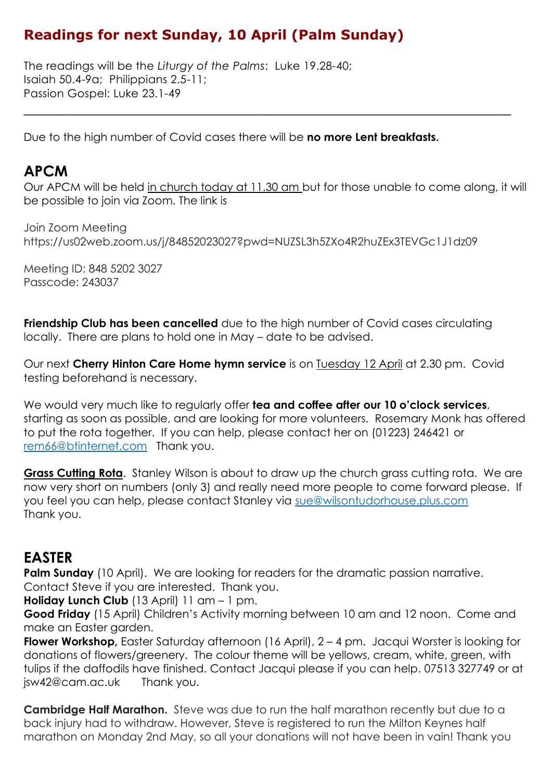#### **Readings for next Sunday, 10 April (Palm Sunday)**

The readings will be the *Liturgy of the Palms*: Luke 19.28-40; Isaiah 50.4-9a; Philippians 2.5-11; Passion Gospel: Luke 23.1-49

Due to the high number of Covid cases there will be **no more Lent breakfasts.**

#### **APCM**

Our APCM will be held in church today at 11.30 am but for those unable to come along, it will be possible to join via Zoom. The link is

\_\_\_\_\_\_\_\_\_\_\_\_\_\_\_\_\_\_\_\_\_\_\_\_\_\_\_\_\_\_\_\_\_\_\_\_\_\_\_\_\_\_\_\_\_\_\_\_\_\_\_\_\_\_\_\_\_

Join Zoom Meeting https://us02web.zoom.us/j/84852023027?pwd=NUZSL3h5ZXo4R2huZEx3TEVGc1J1dz09

Meeting ID: 848 5202 3027 Passcode: 243037

**Friendship Club has been cancelled** due to the high number of Covid cases circulating locally. There are plans to hold one in May – date to be advised.

Our next **Cherry Hinton Care Home hymn service** is on Tuesday 12 April at 2.30 pm. Covid testing beforehand is necessary.

We would very much like to regularly offer **tea and coffee after our 10 o'clock services**, starting as soon as possible, and are looking for more volunteers. Rosemary Monk has offered to put the rota together. If you can help, please contact her on (01223) 246421 or [rem66@btinternet.com](mailto:rem66@btinternet.com) Thank you.

**Grass Cutting Rota.** Stanley Wilson is about to draw up the church grass cutting rota. We are now very short on numbers (only 3) and really need more people to come forward please. If you feel you can help, please contact Stanley via [sue@wilsontudorhouse.plus.com](mailto:sue@wilsontudorhouse.plus.com) Thank you.

#### **EASTER**

**Palm Sunday** (10 April). We are looking for readers for the dramatic passion narrative. Contact Steve if you are interested. Thank you.

**Holiday Lunch Club** (13 April) 11 am – 1 pm.

**Good Friday** (15 April) Children's Activity morning between 10 am and 12 noon. Come and make an Easter garden.

**Flower Workshop,** Easter Saturday afternoon (16 April), 2 – 4 pm. Jacqui Worster is looking for donations of flowers/greenery. The colour theme will be yellows, cream, white, green, with tulips if the daffodils have finished. Contact Jacqui please if you can help. 07513 327749 or at [jsw42@cam.ac.uk](mailto:jsw42@cam.ac.uk) Thank you.

**Cambridge Half Marathon.** Steve was due to run the half marathon recently but due to a back injury had to withdraw. However, Steve is registered to run the Milton Keynes half marathon on Monday 2nd May, so all your donations will not have been in vain! Thank you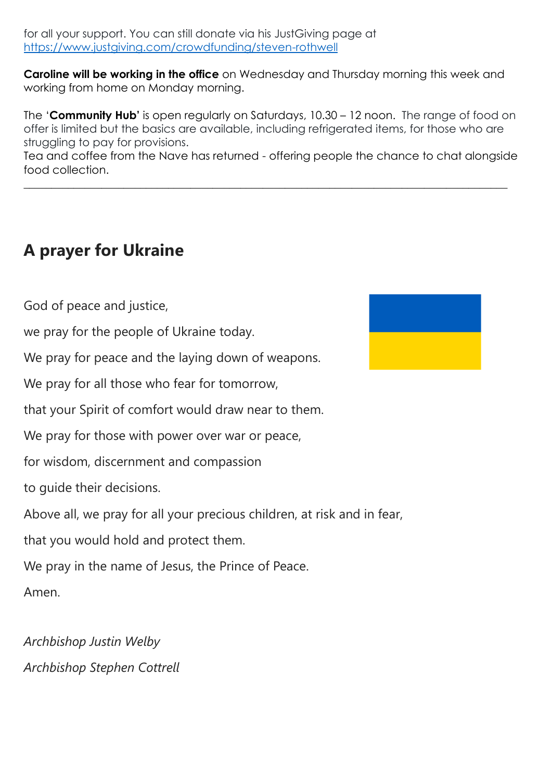for all your support. You can still donate via his JustGiving page at <https://www.justgiving.com/crowdfunding/steven-rothwell>

**Caroline will be working in the office** on Wednesday and Thursday morning this week and working from home on Monday morning.

The '**Community Hub'** is open regularly on Saturdays, 10.30 – 12 noon. The range of food on offer is limited but the basics are available, including refrigerated items, for those who are struggling to pay for provisions.

Tea and coffee from the Nave has returned - offering people the chance to chat alongside food collection.

 $\_$  , and the set of the set of the set of the set of the set of the set of the set of the set of the set of the set of the set of the set of the set of the set of the set of the set of the set of the set of the set of th

# **A prayer for Ukraine**

God of peace and justice,

we pray for the people of Ukraine today.

We pray for peace and the laying down of weapons.

We pray for all those who fear for tomorrow,

that your Spirit of comfort would draw near to them.

We pray for those with power over war or peace,

for wisdom, discernment and compassion

to guide their decisions.

Above all, we pray for all your precious children, at risk and in fear,

that you would hold and protect them.

We pray in the name of Jesus, the Prince of Peace.

Amen.

*Archbishop Justin Welby Archbishop Stephen Cottrell*

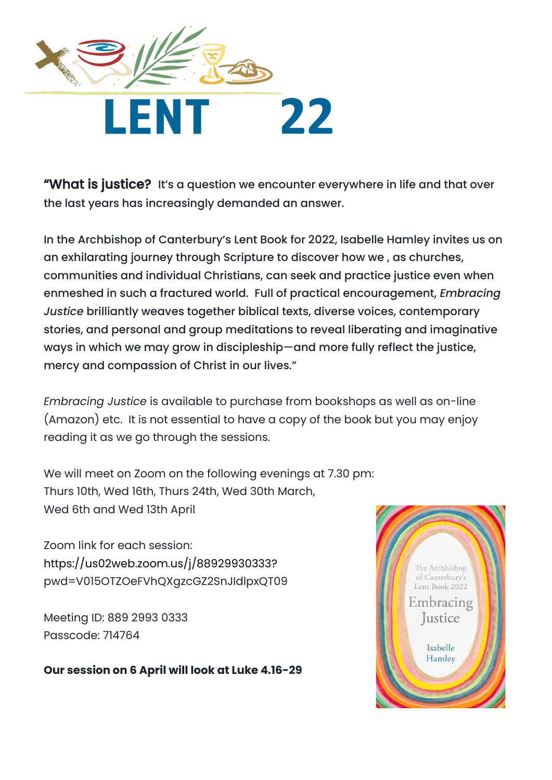

"What is justice? It's a question we encounter everywhere in life and that over the last years has increasingly demanded an answer.

In the Archbishop of Canterbury's Lent Book for 2022, Isabelle Hamley invites us on an exhilarating journey through Scripture to discover how we , as churches, communities and individual Christians, can seek and practice justice even when enmeshed in such a fractured world. Full of practical encouragement, *Embracing Justice* brilliantly weaves together biblical texts, diverse voices, contemporary stories, and personal and group meditations to reveal liberating and imaginative ways in which we may grow in discipleship—and more fully reflect the justice, mercy and compassion of Christ in our lives."

*Embracing Justice* is available to purchase from bookshops as well as on-line (Amazon) etc. It is not essential to have a copy of the book but you may enjoy reading it as we go through the sessions.

We will meet on Zoom on the following evenings at 7.30 pm: Thurs 10th, Wed 16th, Thurs 24th, Wed 30th March, Wed 6th and Wed 13th April

Zoom link for each session: [https://us02web.zoom.us/j/88929930333?](https://us02web.zoom.us/j/88929930333) pwd=V015OTZOeFVhQXgzcGZ2SnJIdlpxQT09

Meeting ID: 889 2993 0333 Passcode: 714764

**Our session on 6 April will look at Luke 4.16-29**

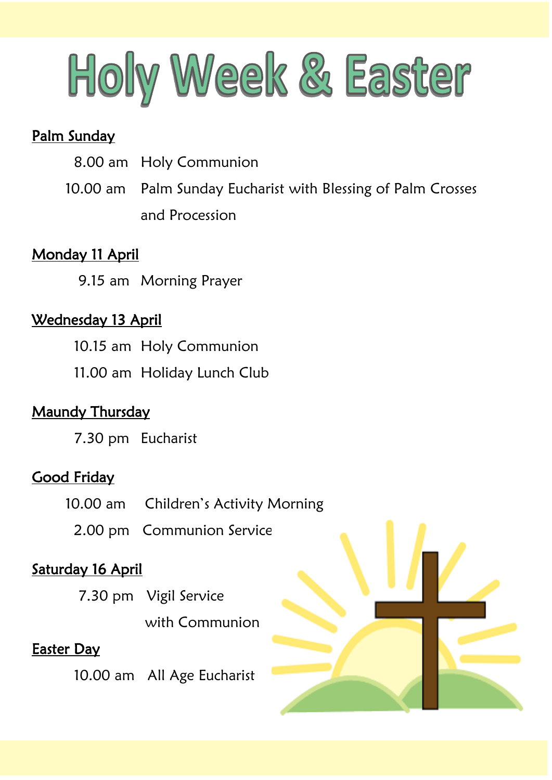

## Palm Sunday

- 8.00 am Holy Communion
- 10.00 am Palm Sunday Eucharist with Blessing of Palm Crosses and Procession

## Monday 11 April

9.15 am Morning Prayer

## Wednesday 13 April

- 10.15 am Holy Communion
- 11.00 am Holiday Lunch Club

# **Maundy Thursday**

7.30 pm Eucharist

#### **Good Friday**

- 10.00 am Children's Activity Morning
	- 2.00 pm Communion Service

# Saturday 16 April

- 7.30 pm Vigil Service
	- with Communion

# Easter Day

10.00 am All Age Eucharist